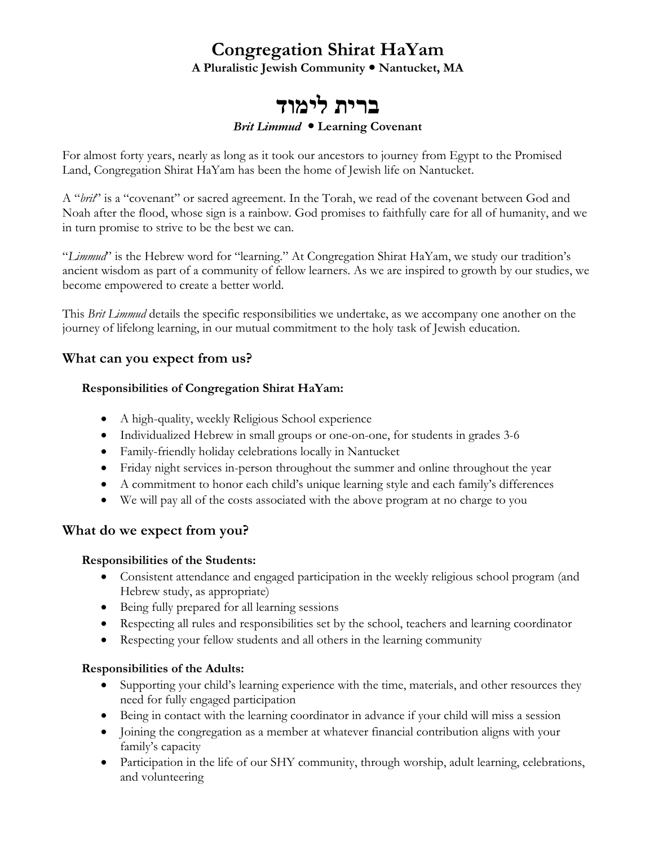## **Congregation Shirat HaYam**

**A Pluralistic Jewish Community Nantucket, MA**

# **דומיל תירב**

#### *Brit Limmud* **Learning Covenant**

For almost forty years, nearly as long as it took our ancestors to journey from Egypt to the Promised Land, Congregation Shirat HaYam has been the home of Jewish life on Nantucket.

A "*brit*" is a "covenant" or sacred agreement. In the Torah, we read of the covenant between God and Noah after the flood, whose sign is a rainbow. God promises to faithfully care for all of humanity, and we in turn promise to strive to be the best we can.

"Limmud" is the Hebrew word for "learning." At Congregation Shirat HaYam, we study our tradition's ancient wisdom as part of a community of fellow learners. As we are inspired to growth by our studies, we become empowered to create a better world.

This *Brit Limmud* details the specific responsibilities we undertake, as we accompany one another on the journey of lifelong learning, in our mutual commitment to the holy task of Jewish education.

## **What can you expect from us?**

### **Responsibilities of Congregation Shirat HaYam:**

- A high-quality, weekly Religious School experience
- Individualized Hebrew in small groups or one-on-one, for students in grades 3-6
- Family-friendly holiday celebrations locally in Nantucket
- Friday night services in-person throughout the summer and online throughout the year
- A commitment to honor each child's unique learning style and each family's differences
- We will pay all of the costs associated with the above program at no charge to you

## **What do we expect from you?**

### **Responsibilities of the Students:**

- Consistent attendance and engaged participation in the weekly religious school program (and Hebrew study, as appropriate)
- Being fully prepared for all learning sessions
- Respecting all rules and responsibilities set by the school, teachers and learning coordinator
- Respecting your fellow students and all others in the learning community

### **Responsibilities of the Adults:**

- Supporting your child's learning experience with the time, materials, and other resources they need for fully engaged participation
- Being in contact with the learning coordinator in advance if your child will miss a session
- Joining the congregation as a member at whatever financial contribution aligns with your family's capacity
- Participation in the life of our SHY community, through worship, adult learning, celebrations, and volunteering